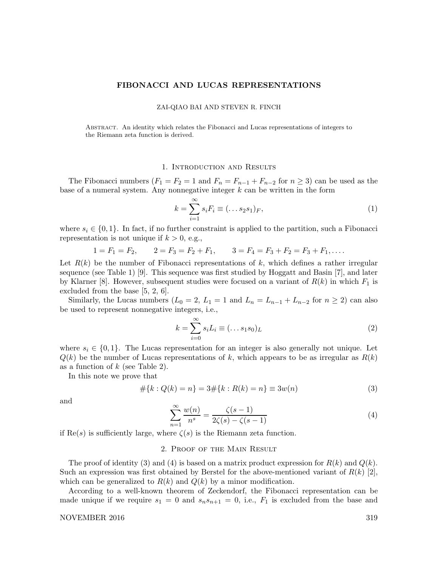#### FIBONACCI AND LUCAS REPRESENTATIONS

#### ZAI-QIAO BAI AND STEVEN R. FINCH

Abstract. An identity which relates the Fibonacci and Lucas representations of integers to the Riemann zeta function is derived.

# 1. Introduction and Results

The Fibonacci numbers  $(F_1 = F_2 = 1$  and  $F_n = F_{n-1} + F_{n-2}$  for  $n \ge 3$  can be used as the base of a numeral system. Any nonnegative integer  $k$  can be written in the form

$$
k = \sum_{i=1}^{\infty} s_i F_i \equiv (\dots s_2 s_1)_F,
$$
\n(1)

where  $s_i \in \{0, 1\}$ . In fact, if no further constraint is applied to the partition, such a Fibonacci representation is not unique if  $k > 0$ , e.g.,

$$
1 = F_1 = F_2
$$
,  $2 = F_3 = F_2 + F_1$ ,  $3 = F_4 = F_3 + F_2 = F_3 + F_1$ ,...

Let  $R(k)$  be the number of Fibonacci representations of k, which defines a rather irregular sequence (see Table 1) [9]. This sequence was first studied by Hoggatt and Basin [7], and later by Klarner [8]. However, subsequent studies were focused on a variant of  $R(k)$  in which  $F_1$  is excluded from the base [5, 2, 6].

Similarly, the Lucas numbers  $(L_0 = 2, L_1 = 1 \text{ and } L_n = L_{n-1} + L_{n-2}$  for  $n \ge 2$ ) can also be used to represent nonnegative integers, i.e.,

$$
k = \sum_{i=0}^{\infty} s_i L_i \equiv (\dots s_1 s_0)_L \tag{2}
$$

where  $s_i \in \{0,1\}$ . The Lucas representation for an integer is also generally not unique. Let  $Q(k)$  be the number of Lucas representations of k, which appears to be as irregular as  $R(k)$ as a function of  $k$  (see Table 2).

In this note we prove that

$$
#{k:Q(k) = n} = 3#{k:R(k) = n} \equiv 3w(n)
$$
\n(3)

and

$$
\sum_{n=1}^{\infty} \frac{w(n)}{n^s} = \frac{\zeta(s-1)}{2\zeta(s) - \zeta(s-1)}
$$
(4)

if  $\text{Re}(s)$  is sufficiently large, where  $\zeta(s)$  is the Riemann zeta function.

# 2. Proof of the Main Result

The proof of identity (3) and (4) is based on a matrix product expression for  $R(k)$  and  $Q(k)$ . Such an expression was first obtained by Berstel for the above-mentioned variant of  $R(k)$  [2], which can be generalized to  $R(k)$  and  $Q(k)$  by a minor modification.

According to a well-known theorem of Zeckendorf, the Fibonacci representation can be made unique if we require  $s_1 = 0$  and  $s_n s_{n+1} = 0$ , i.e.,  $F_1$  is excluded from the base and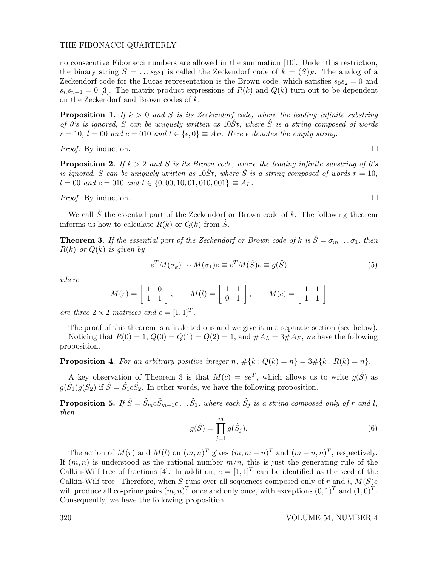no consecutive Fibonacci numbers are allowed in the summation [10]. Under this restriction, the binary string  $S = \ldots s_2 s_1$  is called the Zeckendorf code of  $k = (S)_F$ . The analog of a Zeckendorf code for the Lucas representation is the Brown code, which satisfies  $s_0s_2 = 0$  and  $s_n s_{n+1} = 0$  [3]. The matrix product expressions of  $R(k)$  and  $Q(k)$  turn out to be dependent on the Zeckendorf and Brown codes of k.

**Proposition 1.** If  $k > 0$  and S is its Zeckendorf code, where the leading infinite substring of 0's is ignored, S can be uniquely written as  $10\hat{S}t$ , where  $\hat{S}$  is a string composed of words  $r = 10, l = 00$  and  $c = 010$  and  $t \in \{\epsilon, 0\} \equiv A_F$ . Here  $\epsilon$  denotes the empty string.

*Proof.* By induction.  $\square$ 

**Proposition 2.** If  $k > 2$  and S is its Brown code, where the leading infinite substring of 0's is ignored, S can be uniquely written as  $10\hat{S}t$ , where  $\hat{S}$  is a string composed of words  $r = 10$ ,  $l = 00$  and  $c = 010$  and  $t \in \{0, 00, 10, 01, 010, 001\} \equiv A_L$ .

*Proof.* By induction.  $\square$ 

We call  $\hat{S}$  the essential part of the Zeckendorf or Brown code of k. The following theorem informs us how to calculate  $R(k)$  or  $Q(k)$  from  $\hat{S}$ .

**Theorem 3.** If the essential part of the Zeckendorf or Brown code of k is  $\hat{S} = \sigma_m \dots \sigma_1$ , then  $R(k)$  or  $Q(k)$  is given by

$$
e^T M(\sigma_k) \cdots M(\sigma_1) e \equiv e^T M(\hat{S}) e \equiv g(\hat{S})
$$
\n<sup>(5)</sup>

where

$$
M(r) = \begin{bmatrix} 1 & 0 \\ 1 & 1 \end{bmatrix}, \qquad M(l) = \begin{bmatrix} 1 & 1 \\ 0 & 1 \end{bmatrix}, \qquad M(c) = \begin{bmatrix} 1 & 1 \\ 1 & 1 \end{bmatrix}
$$

are three  $2 \times 2$  matrices and  $e = [1, 1]^T$ .

The proof of this theorem is a little tedious and we give it in a separate section (see below). Noticing that  $R(0) = 1, Q(0) = Q(1) = Q(2) = 1$ , and  $\#A_L = 3\#A_F$ , we have the following proposition.

**Proposition 4.** For an arbitrary positive integer n,  $\#\{k : Q(k) = n\} = 3\#\{k : R(k) = n\}.$ 

A key observation of Theorem 3 is that  $M(c) = ee^T$ , which allows us to write  $g(\hat{S})$  as  $g(\hat{S}_1)g(\hat{S}_2)$  if  $\hat{S} = \hat{S}_1c\hat{S}_2$ . In other words, we have the following proposition.

**Proposition 5.** If  $\hat{S} = \tilde{S}_m c \tilde{S}_{m-1} c \ldots \tilde{S}_1$ , where each  $\tilde{S}_j$  is a string composed only of r and l, then

$$
g(\hat{S}) = \prod_{j=1}^{m} g(\tilde{S}_j).
$$
\n(6)

The action of  $M(r)$  and  $M(l)$  on  $(m, n)^T$  gives  $(m, m+n)^T$  and  $(m+n, n)^T$ , respectively. If  $(m, n)$  is understood as the rational number  $m/n$ , this is just the generating rule of the Calkin-Wilf tree of fractions [4]. In addition,  $e = [1, 1]^T$  can be identified as the seed of the Calkin-Wilf tree. Therefore, when  $\tilde{S}$  runs over all sequences composed only of r and l,  $M(\tilde{S})e$ will produce all co-prime pairs  $(m, n)^T$  once and only once, with exceptions  $(0, 1)^T$  and  $(1, 0)^T$ . Consequently, we have the following proposition.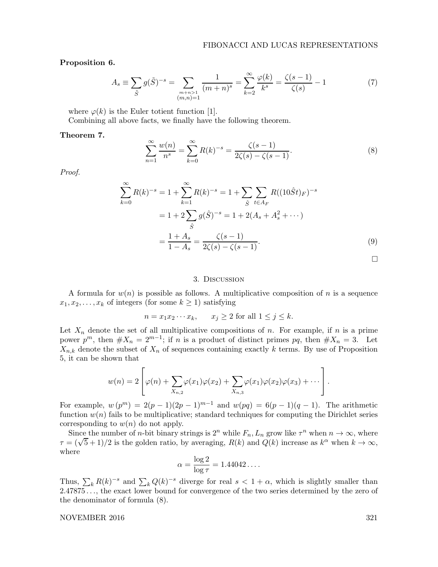# Proposition 6.

$$
A_s \equiv \sum_{\tilde{S}} g(\tilde{S})^{-s} = \sum_{\substack{m+n>1 \ (m,n)=1}} \frac{1}{(m+n)^s} = \sum_{k=2}^{\infty} \frac{\varphi(k)}{k^s} = \frac{\zeta(s-1)}{\zeta(s)} - 1 \tag{7}
$$

where  $\varphi(k)$  is the Euler totient function [1].

Combining all above facts, we finally have the following theorem.

#### Theorem 7.

$$
\sum_{n=1}^{\infty} \frac{w(n)}{n^s} = \sum_{k=0}^{\infty} R(k)^{-s} = \frac{\zeta(s-1)}{2\zeta(s) - \zeta(s-1)}.
$$
\n(8)

Proof.

$$
\sum_{k=0}^{\infty} R(k)^{-s} = 1 + \sum_{k=1}^{\infty} R(k)^{-s} = 1 + \sum_{\hat{S}} \sum_{t \in A_F} R((10\hat{S}t)_F)^{-s}
$$

$$
= 1 + 2 \sum_{\hat{S}} g(\hat{S})^{-s} = 1 + 2(A_s + A_s^2 + \cdots)
$$

$$
= \frac{1 + A_s}{1 - A_s} = \frac{\zeta(s - 1)}{2\zeta(s) - \zeta(s - 1)}.
$$
(9)

## 3. Discussion

A formula for  $w(n)$  is possible as follows. A multiplicative composition of n is a sequence  $x_1, x_2, \ldots, x_k$  of integers (for some  $k \ge 1$ ) satisfying

$$
n = x_1 x_2 \cdots x_k, \qquad x_j \ge 2 \text{ for all } 1 \le j \le k.
$$

Let  $X_n$  denote the set of all multiplicative compositions of n. For example, if n is a prime power  $p^m$ , then  $\#X_n = 2^{m-1}$ ; if n is a product of distinct primes  $pq$ , then  $\#X_n = 3$ . Let  $X_{n,k}$  denote the subset of  $X_n$  of sequences containing exactly k terms. By use of Proposition 5, it can be shown that

$$
w(n) = 2\left[\varphi(n) + \sum_{X_{n,2}} \varphi(x_1)\varphi(x_2) + \sum_{X_{n,3}} \varphi(x_1)\varphi(x_2)\varphi(x_3) + \cdots\right].
$$

For example,  $w(p^m) = 2(p-1)(2p-1)^{m-1}$  and  $w(pq) = 6(p-1)(q-1)$ . The arithmetic function  $w(n)$  fails to be multiplicative; standard techniques for computing the Dirichlet series corresponding to  $w(n)$  do not apply.

Since the number of *n*-bit binary strings is  $2^n$  while  $F_n$ ,  $L_n$  grow like  $\tau^n$  when  $n \to \infty$ , where  $\tau = (\sqrt{5} + 1)/2$  is the golden ratio, by averaging,  $R(k)$  and  $Q(k)$  increase as  $k^{\alpha}$  when  $k \to \infty$ , where

$$
\alpha = \frac{\log 2}{\log \tau} = 1.44042\dots.
$$

Thus,  $\sum_{k} R(k)^{-s}$  and  $\sum_{k} Q(k)^{-s}$  diverge for real  $s < 1 + \alpha$ , which is slightly smaller than 2.47875 . . ., the exact lower bound for convergence of the two series determined by the zero of the denominator of formula (8).

## NOVEMBER 2016 321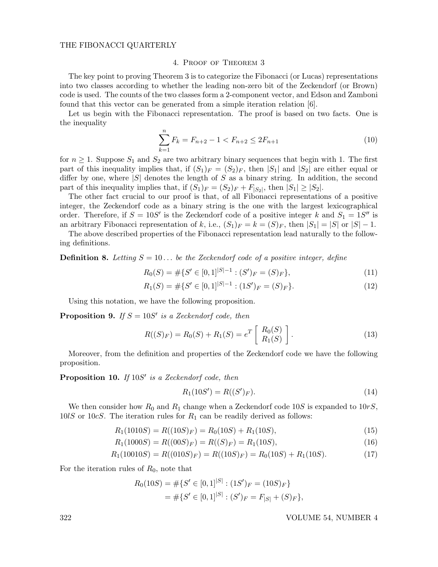# 4. Proof of Theorem 3

The key point to proving Theorem 3 is to categorize the Fibonacci (or Lucas) representations into two classes according to whether the leading non-zero bit of the Zeckendorf (or Brown) code is used. The counts of the two classes form a 2-component vector, and Edson and Zamboni found that this vector can be generated from a simple iteration relation [6].

Let us begin with the Fibonacci representation. The proof is based on two facts. One is the inequality

$$
\sum_{k=1}^{n} F_k = F_{n+2} - 1 < F_{n+2} \le 2F_{n+1} \tag{10}
$$

for  $n \geq 1$ . Suppose  $S_1$  and  $S_2$  are two arbitrary binary sequences that begin with 1. The first part of this inequality implies that, if  $(S_1)_F = (S_2)_F$ , then  $|S_1|$  and  $|S_2|$  are either equal or differ by one, where  $|S|$  denotes the length of S as a binary string. In addition, the second part of this inequality implies that, if  $(S_1)_F = (S_2)_F + F_{|S_2|}$ , then  $|S_1| \geq |S_2|$ .

The other fact crucial to our proof is that, of all Fibonacci representations of a positive integer, the Zeckendorf code as a binary string is the one with the largest lexicographical order. Therefore, if  $S = 10S'$  is the Zeckendorf code of a positive integer k and  $S_1 = 1S''$  is an arbitrary Fibonacci representation of k, i.e.,  $(S_1)_F = k = (S)_F$ , then  $|S_1| = |S|$  or  $|S| - 1$ .

The above described properties of the Fibonacci representation lead naturally to the following definitions.

**Definition 8.** Letting  $S = 10...$  be the Zeckendorf code of a positive integer, define

$$
R_0(S) = \# \{ S' \in [0,1]^{|S|-1} : (S')_F = (S)_F \},\tag{11}
$$

$$
R_1(S) = \# \{ S' \in [0,1]^{|S|-1} : (1S')_F = (S)_F \}. \tag{12}
$$

Using this notation, we have the following proposition.

**Proposition 9.** If  $S = 10S'$  is a Zeckendorf code, then

$$
R((S)_F) = R_0(S) + R_1(S) = e^T \begin{bmatrix} R_0(S) \\ R_1(S) \end{bmatrix}.
$$
 (13)

Moreover, from the definition and properties of the Zeckendorf code we have the following proposition.

# **Proposition 10.** If  $10S'$  is a Zeckendorf code, then

$$
R_1(10S') = R((S')_F). \tag{14}
$$

We then consider how  $R_0$  and  $R_1$  change when a Zeckendorf code 10S is expanded to 10rS,  $10lS$  or  $10cS$ . The iteration rules for  $R_1$  can be readily derived as follows:

$$
R_1(1010S) = R((10S)_F) = R_0(10S) + R_1(10S),
$$
\n<sup>(15)</sup>

$$
R_1(1000S) = R((00S)_F) = R((S)_F) = R_1(10S),
$$
\n(16)

$$
R_1(10010S) = R((010S)_F) = R((10S)_F) = R_0(10S) + R_1(10S). \tag{17}
$$

For the iteration rules of  $R_0$ , note that

$$
R_0(10S) = #\{S' \in [0,1]^{|S|} : (1S')_F = (10S)_F\}
$$
  
= # $\{S' \in [0,1]^{|S|} : (S')_F = F_{|S|} + (S)_F\},$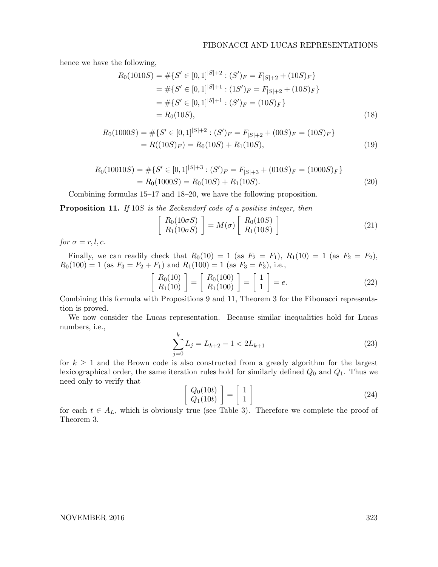hence we have the following,

$$
R_0(1010S) = #\{S' \in [0,1]^{|S|+2} : (S')_F = F_{|S|+2} + (10S)_F\}
$$
  
= #\{S' \in [0,1]^{|S|+1} : (1S')\_F = F\_{|S|+2} + (10S)\_F\}  
= #\{S' \in [0,1]^{|S|+1} : (S')\_F = (10S)\_F\}  
= R\_0(10S), \tag{18}

$$
R_0(1000S) = #\{S' \in [0,1]^{|S|+2} : (S')_F = F_{|S|+2} + (00S)_F = (10S)_F\}
$$
  
=  $R((10S)_F) = R_0(10S) + R_1(10S),$  (19)

$$
R_0(10010S) = #{S' \in [0,1]^{|S|+3} : (S')_F = F_{|S|+3} + (010S)_F = (1000S)_F}
$$
  
=  $R_0(1000S) = R_0(10S) + R_1(10S)$ . (20)

Combining formulas 15–17 and 18–20, we have the following proposition.

Proposition 11. If 10S is the Zeckendorf code of a positive integer, then

$$
\begin{bmatrix}\nR_0(10\sigma S) \\
R_1(10\sigma S)\n\end{bmatrix} = M(\sigma) \begin{bmatrix}\nR_0(10S) \\
R_1(10S)\n\end{bmatrix}
$$
\n(21)

for  $\sigma = r, l, c$ .

Finally, we can readily check that  $R_0(10) = 1$  (as  $F_2 = F_1$ ),  $R_1(10) = 1$  (as  $F_2 = F_2$ ),  $R_0(100) = 1$  (as  $F_3 = F_2 + F_1$ ) and  $R_1(100) = 1$  (as  $F_3 = F_3$ ), i.e.,

$$
\begin{bmatrix}\nR_0(10) \\
R_1(10)\n\end{bmatrix} =\n\begin{bmatrix}\nR_0(100) \\
R_1(100)\n\end{bmatrix} =\n\begin{bmatrix}\n1 \\
1\n\end{bmatrix} = e.
$$
\n(22)

Combining this formula with Propositions 9 and 11, Theorem 3 for the Fibonacci representation is proved.

We now consider the Lucas representation. Because similar inequalities hold for Lucas numbers, i.e.,

$$
\sum_{j=0}^{k} L_j = L_{k+2} - 1 < 2L_{k+1} \tag{23}
$$

for  $k \geq 1$  and the Brown code is also constructed from a greedy algorithm for the largest lexicographical order, the same iteration rules hold for similarly defined  $Q_0$  and  $Q_1$ . Thus we need only to verify that

$$
\left[\begin{array}{c} Q_0(10t) \\ Q_1(10t) \end{array}\right] = \left[\begin{array}{c} 1 \\ 1 \end{array}\right] \tag{24}
$$

for each  $t \in A_L$ , which is obviously true (see Table 3). Therefore we complete the proof of Theorem 3.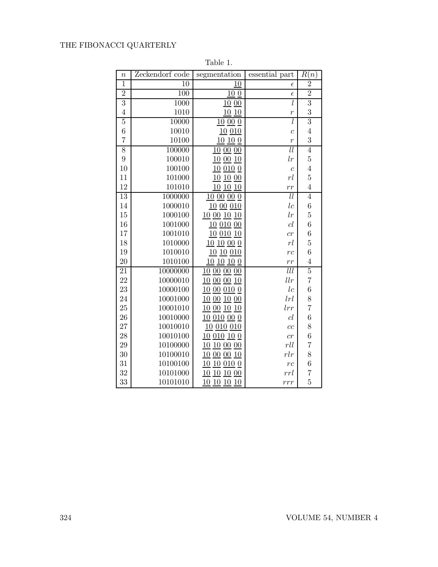| $\boldsymbol{n}$ | Zeckendorf code | segmentation       | essential part    | R(n)             |
|------------------|-----------------|--------------------|-------------------|------------------|
| $\overline{1}$   | 10              | 10                 | $\epsilon$        | $\overline{2}$   |
| $\overline{2}$   | 100             | 100                | $\epsilon$        | $\overline{2}$   |
| $\overline{3}$   | 1000            | 1000               | $\overline{l}$    | $\overline{3}$   |
| $\overline{4}$   | 1010            | 1010               | $\overline{r}$    | 3                |
| $\overline{5}$   | 10000           | 10000              | $\overline{l}$    | $\overline{3}$   |
| $\overline{6}$   | 10010           | 10 010             | $\overline{c}$    | $\overline{4}$   |
| $\overline{7}$   | 10100           | 10100              | $\overline{r}$    | 3                |
| 8                | 100000          | 10 00 00           | $\overline{ll}$   | $\overline{4}$   |
| $\boldsymbol{9}$ | 100010          | 10 00 10           | l r               | $\overline{5}$   |
| 10               | 100100          | 10 010 0           | $\overline{c}$    | $\overline{4}$   |
| 11               | 101000          | 10 10 00           | rl                | $\overline{5}$   |
| 12               | 101010          | 10 10 10           | rr                | $\overline{4}$   |
| 13               | 1000000         | 100000             | $_{ll}$           | $\overline{4}$   |
| 14               | 1000010         | 10 00 010          | lc                | 6                |
| 15               | 1000100         | 10 00 10 10        | l r               | $\overline{5}$   |
| 16               | 1001000         | 10 010 00          | cl                | $\boldsymbol{6}$ |
| 17               | 1001010         | 10 010 10          | cr                | 6                |
| 18               | 1010000         | 101000             | rl                | $\overline{5}$   |
| 19               | 1010010         | 10 10 010          | rc                | 6                |
| 20               | 1010100         | 1010100            | rr                | $\overline{4}$   |
| $\overline{21}$  | 10000000        | 10 00 00 00        | $_{lll}$          | $\overline{5}$   |
| 22               | 10000010        | 10 00 00 10        | $_{llr}$          | $\overline{7}$   |
| 23               | 10000100        | 10 00 010 0        | lc                | 6                |
| 24               | 10001000        | 10 00 10 00        | lrl               | 8                |
| 25               | 10001010        | 10 00 10 10        | lrr               | $\overline{7}$   |
| 26               | 10010000        | 10 010 00 0        | cl                | 6                |
| 27               | 10010010        | 10 010 010         | cc                | 8                |
| 28               | 10010100        | 10 010 10 0        | cr                | 6                |
| 29               | 10100000        | 10 10 00 00        | rll               | $\overline{7}$   |
| 30               | 10100010        | 10 00 00 10        | rlr               | 8                |
| 31               | 10100100        | 10 10 010 0        | $r\boldsymbol{c}$ | 6                |
| 32               | 10101000        | 10 10 10 00        | rrl               | $\overline{7}$   |
| 33               | 10101010        | <u>10 10 10 10</u> | rrr               | $\overline{5}$   |

Table 1.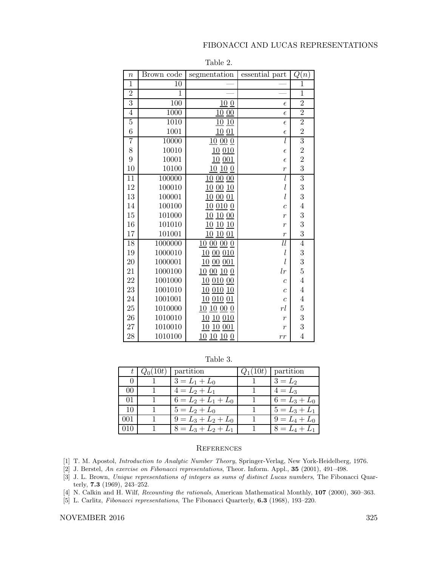# FIBONACCI AND LUCAS REPRESENTATIONS

| $\boldsymbol{n}$ | Brown code  | segmentation | essential part   | Q(n)           |
|------------------|-------------|--------------|------------------|----------------|
| $\mathbf{1}$     | 10          |              |                  | $\mathbf{1}$   |
| $\overline{2}$   | $\mathbf 1$ |              |                  | $\overline{1}$ |
| $\overline{3}$   | 100         | 100          | $\epsilon$       | $\overline{2}$ |
| $\overline{4}$   | 1000        | 10 00        | $\epsilon$       | $\overline{2}$ |
| $\overline{5}$   | 1010        | 10 10        | $\epsilon$       | $\overline{2}$ |
| $\overline{6}$   | 1001        | 10 01        | $\epsilon$       | $\overline{2}$ |
| 7                | 10000       | 10000        | $\overline{l}$   | $\overline{3}$ |
| 8                | 10010       | 10 010       | $\epsilon$       | $\overline{2}$ |
| 9                | 10001       | 10 001       | $\epsilon$       | $\overline{2}$ |
| 10               | 10100       | 10100        | $\overline{r}$   | 3              |
| 11               | 100000      | 10 00 00     | l                | $\overline{3}$ |
| $12\,$           | 100010      | 10 00 10     | l                | 3              |
| 13               | 100001      | 10 00 01     | l                | 3              |
| 14               | 100100      | 100100       | $\overline{c}$   | $\overline{4}$ |
| 15               | 101000      | 10 10 00     | $\overline{r}$   | 3              |
| 16               | 101010      | 101010       | $\overline{r}$   | 3              |
| 17               | 101001      | 10 10 01     | $\overline{r}$   | 3              |
| $\overline{18}$  | 1000000     | 100000       | $\overline{ll}$  | $\overline{4}$ |
| $19\,$           | 1000010     | 10 00 010    | l                | 3              |
| 20               | 1000001     | 10 00 001    | $l_{\rm}$        | 3              |
| 21               | 1000100     | 1000100      | l r              | $\overline{5}$ |
| 22               | 1001000     | 10 010 00    | $\overline{c}$   | $\overline{4}$ |
| 23               | 1001010     | 10 010 10    | $\overline{c}$   | $\overline{4}$ |
| 24               | 1001001     | 10 010 01    | $\overline{c}$   | $\overline{4}$ |
| 25               | 1010000     | 101000       | rl               | $\overline{5}$ |
| 26               | 1010010     | 10 10 010    | $\overline{r}$   | 3              |
| 27               | 1010010     | 10 10 001    | $\boldsymbol{r}$ | 3              |
| 28               | 1010100     | 10 10 10 0   | rr               | $\overline{4}$ |

Table 2.

Table 3.

|      | $t \mid Q_0(10t)$ | partition             | $Q_1(10t)$   partition |
|------|-------------------|-----------------------|------------------------|
|      |                   | $3 = L_1 + L_0$       | $3 = L_2$              |
| (0() |                   | $4 = L_2 + L_1$       | $4=L_3$                |
| 01   |                   | $6 = L_2 + L_1 + L_0$ | $6 = L_3 + L_0$        |
| 10.  |                   | $5 = L_2 + L_0$       | $5 = L_3 + L_1$        |
| 001  | $\overline{1}$    | $9 = L_3 + L_2 + L_0$ | $9 = L_4 + L_0$        |
| 010  |                   | $8 = L_3 + L_2 + L_1$ | $8 = L_4 + L_1$        |

# **REFERENCES**

- [1] T. M. Apostol, Introduction to Analytic Number Theory, Springer-Verlag, New York-Heidelberg, 1976.
- [2] J. Berstel, An exercise on Fibonacci representations, Theor. Inform. Appl., 35 (2001), 491–498.
- [3] J. L. Brown, Unique representations of integers as sums of distinct Lucas numbers, The Fibonacci Quarterly, 7.3 (1969), 243–252.
- [4] N. Calkin and H. Wilf, Recounting the rationals, American Mathematical Monthly, 107 (2000), 360–363.
- [5] L. Carlitz, Fibonacci representations, The Fibonacci Quarterly, **6.3** (1968), 193-220.

# NOVEMBER 2016 325